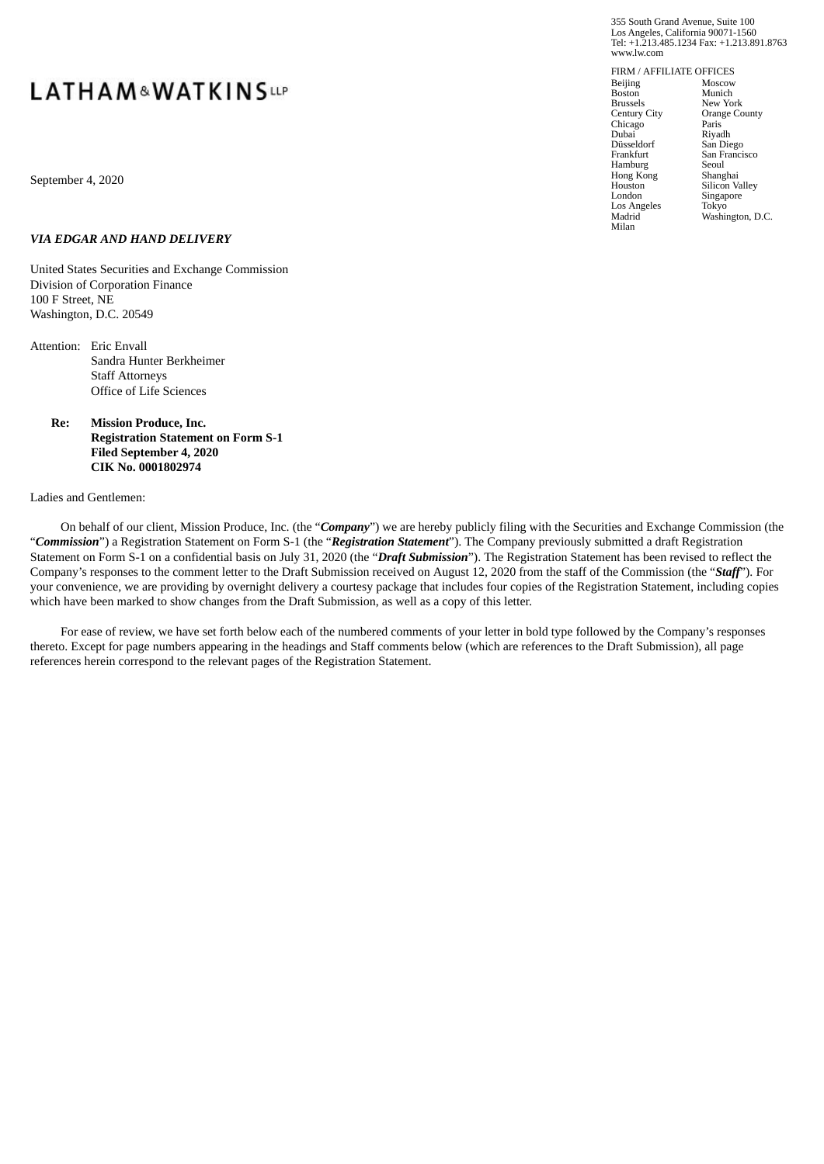# **LATHAM&WATKINSUP**

September 4, 2020

### *VIA EDGAR AND HAND DELIVERY*

United States Securities and Exchange Commission Division of Corporation Finance 100 F Street, NE Washington, D.C. 20549

- Attention: Eric Envall Sandra Hunter Berkheimer Staff Attorneys Office of Life Sciences
	- **Re: Mission Produce, Inc. Registration Statement on Form S-1 Filed September 4, 2020 CIK No. 0001802974**

#### Ladies and Gentlemen:

On behalf of our client, Mission Produce, Inc. (the "*Company*") we are hereby publicly filing with the Securities and Exchange Commission (the "*Commission*") a Registration Statement on Form S-1 (the "*Registration Statement*"). The Company previously submitted a draft Registration Statement on Form S-1 on a confidential basis on July 31, 2020 (the "*Draft Submission*"). The Registration Statement has been revised to reflect the Company's responses to the comment letter to the Draft Submission received on August 12, 2020 from the staff of the Commission (the "*Staff*"). For your convenience, we are providing by overnight delivery a courtesy package that includes four copies of the Registration Statement, including copies which have been marked to show changes from the Draft Submission, as well as a copy of this letter.

For ease of review, we have set forth below each of the numbered comments of your letter in bold type followed by the Company's responses thereto. Except for page numbers appearing in the headings and Staff comments below (which are references to the Draft Submission), all page references herein correspond to the relevant pages of the Registration Statement.

355 South Grand Avenue, Suite 100 Los Angeles, California 90071-1560 Tel: +1.213.485.1234 Fax: +1.213.891.8763 www.lw.com

FIRM / AFFILIATE OFFICES Beijing Boston Brussels Century City Chicago Dubai Düsseldorf Frankfurt Hamburg Hong Kong Houston London Los Angeles Madrid Milan Paris

Moscow Munich New York Orange County Riyadh San Diego San Francisco Seoul Shanghai Silicon Valley Singapore Tokyo Washington, D.C.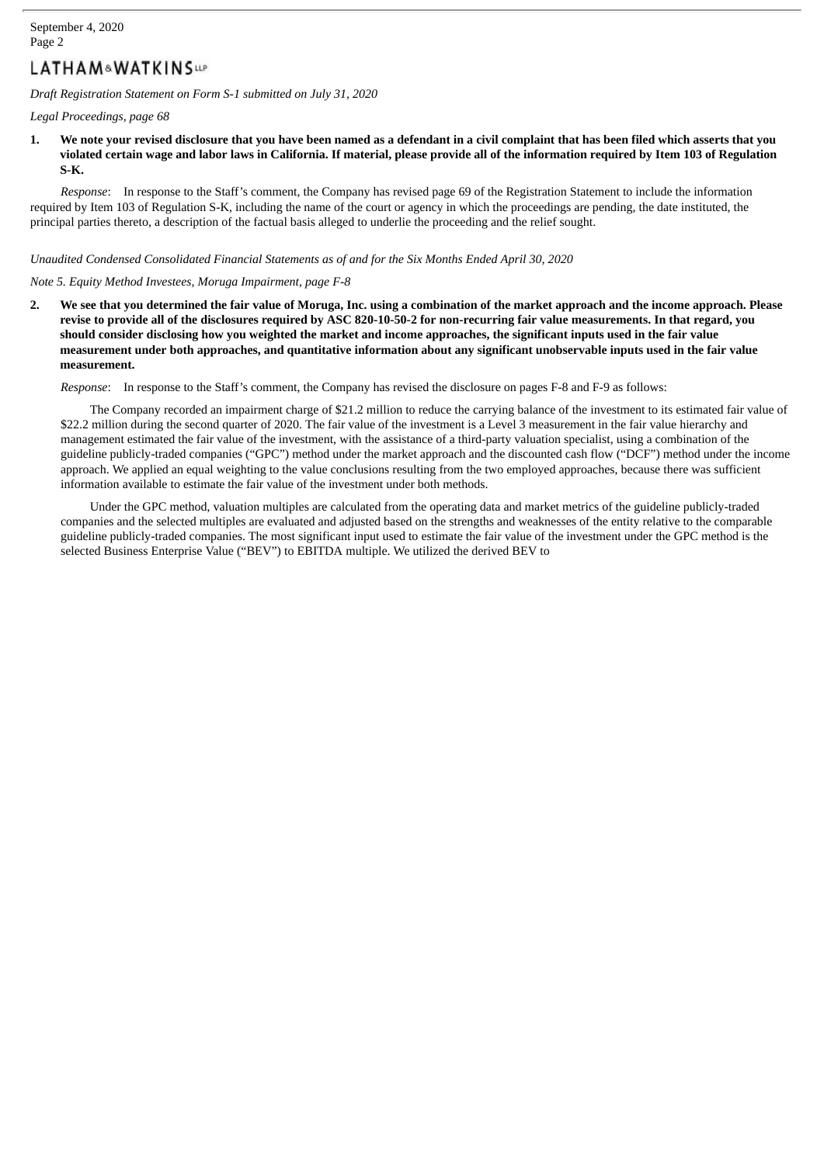## LATHAM&WATKINSue

*Draft Registration Statement on Form S-1 submitted on July 31, 2020*

*Legal Proceedings, page 68*

1. We note your revised disclosure that you have been named as a defendant in a civil complaint that has been filed which asserts that you violated certain wage and labor laws in California. If material, please provide all of the information required by Item 103 of Regulation **S-K.**

*Response*: In response to the Staff's comment, the Company has revised page 69 of the Registration Statement to include the information required by Item 103 of Regulation S-K, including the name of the court or agency in which the proceedings are pending, the date instituted, the principal parties thereto, a description of the factual basis alleged to underlie the proceeding and the relief sought.

### *Unaudited Condensed Consolidated Financial Statements as of and for the Six Months Ended April 30, 2020*

#### *Note 5. Equity Method Investees, Moruga Impairment, page F-8*

2. We see that you determined the fair value of Moruga, Inc. using a combination of the market approach and the income approach. Please revise to provide all of the disclosures required by ASC 820-10-50-2 for non-recurring fair value measurements. In that regard, you should consider disclosing how you weighted the market and income approaches, the significant inputs used in the fair value measurement under both approaches, and quantitative information about any significant unobservable inputs used in the fair value **measurement.**

*Response*: In response to the Staff's comment, the Company has revised the disclosure on pages F-8 and F-9 as follows:

The Company recorded an impairment charge of \$21.2 million to reduce the carrying balance of the investment to its estimated fair value of \$22.2 million during the second quarter of 2020. The fair value of the investment is a Level 3 measurement in the fair value hierarchy and management estimated the fair value of the investment, with the assistance of a third-party valuation specialist, using a combination of the guideline publicly-traded companies ("GPC") method under the market approach and the discounted cash flow ("DCF") method under the income approach. We applied an equal weighting to the value conclusions resulting from the two employed approaches, because there was sufficient information available to estimate the fair value of the investment under both methods.

Under the GPC method, valuation multiples are calculated from the operating data and market metrics of the guideline publicly-traded companies and the selected multiples are evaluated and adjusted based on the strengths and weaknesses of the entity relative to the comparable guideline publicly-traded companies. The most significant input used to estimate the fair value of the investment under the GPC method is the selected Business Enterprise Value ("BEV") to EBITDA multiple. We utilized the derived BEV to